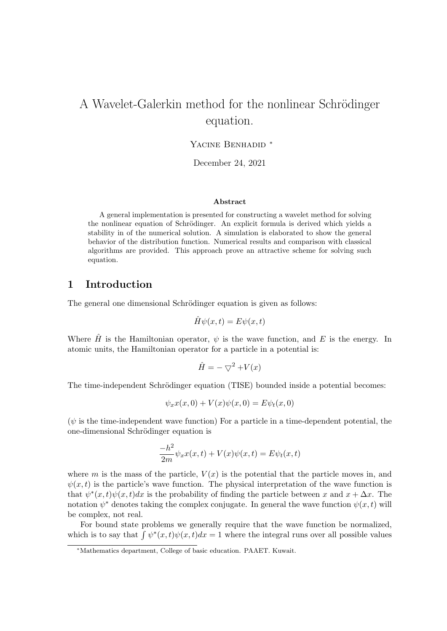# A Wavelet-Galerkin method for the nonlinear Schrödinger equation.

Yacine Benhadid *<sup>∗</sup>*

December 24, 2021

#### **Abstract**

A general implementation is presented for constructing a wavelet method for solving the nonlinear equation of Schrödinger. An explicit formula is derived which yields a stability in of the numerical solution. A simulation is elaborated to show the general behavior of the distribution function. Numerical results and comparison with classical algorithms are provided. This approach prove an attractive scheme for solving such equation.

### **1 Introduction**

The general one dimensional Schrödinger equation is given as follows:

$$
\hat{H}\psi(x,t) = E\psi(x,t)
$$

Where  $\hat{H}$  is the Hamiltonian operator,  $\psi$  is the wave function, and E is the energy. In atomic units, the Hamiltonian operator for a particle in a potential is:

$$
\hat{H} = -\bigtriangledown^2 + V(x)
$$

The time-independent Schrödinger equation (TISE) bounded inside a potential becomes:

$$
\psi_x x(x,0) + V(x)\psi(x,0) = E\psi_t(x,0)
$$

 $(\psi)$  is the time-independent wave function) For a particle in a time-dependent potential, the one-dimensional Schrödinger equation is

$$
\frac{-h^2}{2m}\psi_x x(x,t) + V(x)\psi(x,t) = E\psi_t(x,t)
$$

where *m* is the mass of the particle,  $V(x)$  is the potential that the particle moves in, and  $\psi(x, t)$  is the particle's wave function. The physical interpretation of the wave function is that  $\psi^*(x,t)\psi(x,t)dx$  is the probability of finding the particle between *x* and  $x + \Delta x$ . The notation  $\psi^*$  denotes taking the complex conjugate. In general the wave function  $\psi(x,t)$  will be complex, not real.

For bound state problems we generally require that the wave function be normalized, which is to say that  $\int \psi^*(x,t)\psi(x,t)dx = 1$  where the integral runs over all possible values

*<sup>∗</sup>*Mathematics department, College of basic education. PAAET. Kuwait.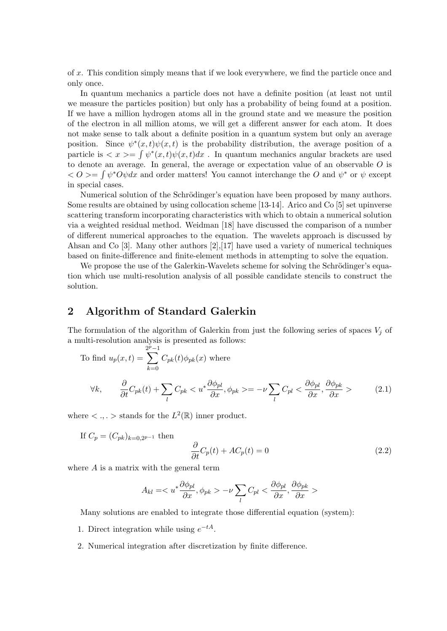of *x*. This condition simply means that if we look everywhere, we find the particle once and only once.

In quantum mechanics a particle does not have a definite position (at least not until we measure the particles position) but only has a probability of being found at a position. If we have a million hydrogen atoms all in the ground state and we measure the position of the electron in all million atoms, we will get a different answer for each atom. It does not make sense to talk about a definite position in a quantum system but only an average position. Since  $\psi^*(x,t)\psi(x,t)$  is the probability distribution, the average position of a particle is  $\langle x \rangle = \int \psi^*(x, t) \psi(x, t) dx$ . In quantum mechanics angular brackets are used to denote an average. In general, the average or expectation value of an observable *O* is  $Q \leq 0$  is a positive of the *O* and *w*<sup>\*</sup> or *ψ* except in special cases.

Numerical solution of the Schrödinger's equation have been proposed by many authors. Some results are obtained by using collocation scheme [13-14]. Arico and Co [5] set upinverse scattering transform incorporating characteristics with which to obtain a numerical solution via a weighted residual method. Weidman [18] have discussed the comparison of a number of different numerical approaches to the equation. The wavelets approach is discussed by Ahsan and Co [3]. Many other authors  $[2], [17]$  have used a variety of numerical techniques based on finite-difference and finite-element methods in attempting to solve the equation.

We propose the use of the Galerkin-Wavelets scheme for solving the Schrödinger's equation which use multi-resolution analysis of all possible candidate stencils to construct the solution.

#### **2 Algorithm of Standard Galerkin**

The formulation of the algorithm of Galerkin from just the following series of spaces  $V_j$  of a multi-resolution analysis is presented as follows:

To find 
$$
u_p(x, t) = \sum_{k=0}^{2^p-1} C_{pk}(t) \phi_{pk}(x)
$$
 where  
\n
$$
\forall k, \qquad \frac{\partial}{\partial t} C_{pk}(t) + \sum_l C_{pk} < u^* \frac{\partial \phi_{pl}}{\partial x}, \phi_{pk} > = -\nu \sum_l C_{pl} < \frac{\partial \phi_{pl}}{\partial x}, \frac{\partial \phi_{pk}}{\partial x} > \tag{2.1}
$$

where  $\langle \ldots \rangle$  stands for the  $L^2(\mathbb{R})$  inner product.

If 
$$
C_p = (C_{pk})_{k=0,2^{p-1}}
$$
 then  
\n
$$
\frac{\partial}{\partial t}C_p(t) + AC_p(t) = 0
$$
\n(2.2)

where *A* is a matrix with the general term

$$
A_{kl} = -\nu \sum_l C_{pl} <\frac{\partial \phi_{pl}}{\partial x}, \frac{\partial \phi_{pk}}{\partial x}>
$$

Many solutions are enabled to integrate those differential equation (system):

- 1. Direct integration while using  $e^{-tA}$ .
- 2. Numerical integration after discretization by finite difference.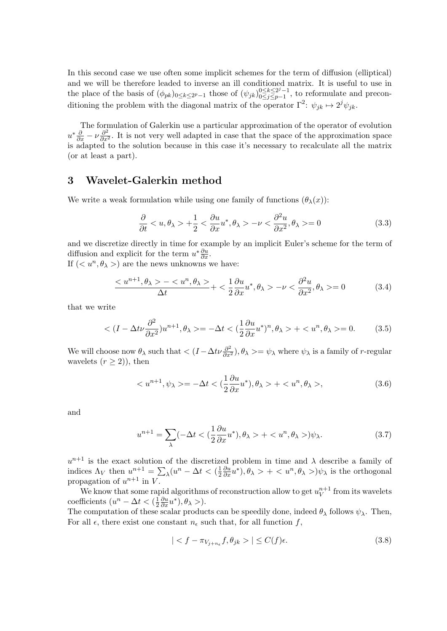In this second case we use often some implicit schemes for the term of diffusion (elliptical) and we will be therefore leaded to inverse an ill conditioned matrix. It is useful to use in the place of the basis of  $(\phi_{pk})_{0 \le k \le 2^p - 1}$  those of  $(\psi_{jk})_{0 \le j \le p-1}^{0 \le k \le 2^j - 1}$ 0*≤j≤p−*1 , to reformulate and preconditioning the problem with the diagonal matrix of the operator  $\Gamma^2$ :  $\psi_{jk} \mapsto 2^j \psi_{jk}$ .

The formulation of Galerkin use a particular approximation of the operator of evolution  $u^*\frac{\partial}{\partial x} - \nu \frac{\partial^2}{\partial x^2}$ . It is not very well adapted in case that the space of the approximation space is adapted to the solution because in this case it's necessary to recalculate all the matrix (or at least a part).

### **3 Wavelet-Galerkin method**

We write a weak formulation while using one family of functions  $(\theta_{\lambda}(x))$ :

$$
\frac{\partial}{\partial t} < u, \theta_{\lambda} > +\frac{1}{2} < \frac{\partial u}{\partial x} u^*, \theta_{\lambda} > -\nu < \frac{\partial^2 u}{\partial x^2}, \theta_{\lambda} > = 0 \tag{3.3}
$$

and we discretize directly in time for example by an implicit Euler's scheme for the term of diffusion and explicit for the term  $u^*\frac{\partial u}{\partial x}$ .

If  $( $u^n, \theta_\lambda>$ ) are the news unknowns we have:$ 

$$
\frac{< u^{n+1}, \theta_{\lambda} > -< u^n, \theta_{\lambda} >}{\Delta t} < \frac{1}{2} \frac{\partial u}{\partial x} u^*, \theta_{\lambda} > -\nu < \frac{\partial^2 u}{\partial x^2}, \theta_{\lambda} > = 0 \tag{3.4}
$$

that we write

$$
\langle (I - \Delta t \nu \frac{\partial^2}{\partial x^2}) u^{n+1}, \theta_\lambda \rangle = -\Delta t \langle (\frac{1}{2} \frac{\partial u}{\partial x} u^*)^n, \theta_\lambda \rangle + \langle u^n, \theta_\lambda \rangle = 0. \tag{3.5}
$$

We will choose now  $\theta_{\lambda}$  such that  $\langle (I - \Delta t \nu \frac{\partial^2}{\partial x^2}), \theta_{\lambda} \rangle = \psi_{\lambda}$  where  $\psi_{\lambda}$  is a family of *r*-regular wavelets  $(r > 2)$ , then

$$
\langle u^{n+1}, \psi_\lambda \rangle = -\Delta t \langle \frac{1}{2} \frac{\partial u}{\partial x} u^* \rangle, \theta_\lambda \rangle + \langle u^n, \theta_\lambda \rangle, \tag{3.6}
$$

and

$$
u^{n+1} = \sum_{\lambda} (-\Delta t < \left(\frac{1}{2}\frac{\partial u}{\partial x}u^*\right), \theta_{\lambda} > + < u^n, \theta_{\lambda} >)\psi_{\lambda}.\tag{3.7}
$$

 $u^{n+1}$  is the exact solution of the discretized problem in time and  $\lambda$  describe a family of indices  $\Lambda_V$  then  $u^{n+1} = \sum_{\lambda} (u^n - \Delta t < (\frac{1}{2})$ 2  $\frac{\partial u}{\partial x}u^*$ ,  $\theta_{\lambda} > + < u^n, \theta_{\lambda} >$ ) $\psi_{\lambda}$  is the orthogonal propagation of  $u^{n+1}$  in *V*.

We know that some rapid algorithms of reconstruction allow to get  $u_V^{n+1}$  $v^{n+1}$  from its wavelets coefficients  $(u^n - \Delta t < (\frac{1}{2}))$ 2  $\frac{\partial u}{\partial x}u^*$ ,  $\theta_\lambda$  >).

The computation of these scalar products can be speedily done, indeed  $\theta_{\lambda}$  follows  $\psi_{\lambda}$ . Then, For all  $\epsilon$ , there exist one constant  $n_{\epsilon}$  such that, for all function  $f$ ,

$$
|< f - \pi_{V_{j+n_{\epsilon}}} f, \theta_{jk} > | \le C(f)\epsilon. \tag{3.8}
$$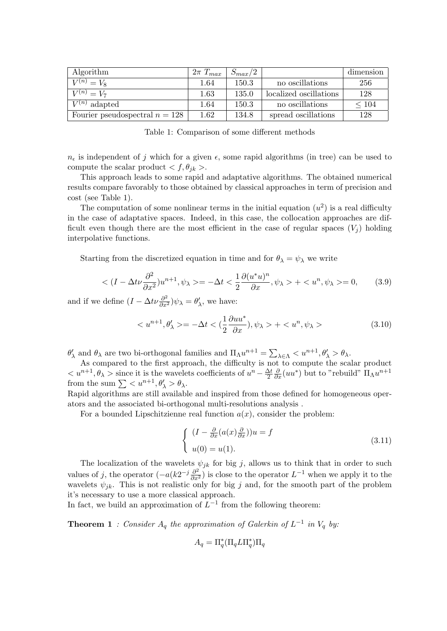| Algorithm                        | $2\pi T_{max}$ | $S_{max}/2$ |                        | dimension  |
|----------------------------------|----------------|-------------|------------------------|------------|
| $V^{(n)} = V_8$                  | 1.64           | 150.3       | no oscillations        | 256        |
| $V^{(n)} = V_7$                  | 1.63           | 135.0       | localized oscillations | 128        |
| $V^{(n)}$ adapted                | 1.64           | 150.3       | no oscillations        | $\leq 104$ |
| Fourier pseudospectral $n = 128$ | 1.62           | 134.8       | spread oscillations    | 128        |

Table 1: Comparison of some different methods

 $n_{\epsilon}$  is independent of *j* which for a given  $\epsilon$ , some rapid algorithms (in tree) can be used to compute the scalar product  $\langle f, \theta_{ik} \rangle$ .

This approach leads to some rapid and adaptative algorithms. The obtained numerical results compare favorably to those obtained by classical approaches in term of precision and cost (see Table 1).

The computation of some nonlinear terms in the initial equation  $(u^2)$  is a real difficulty in the case of adaptative spaces. Indeed, in this case, the collocation approaches are difficult even though there are the most efficient in the case of regular spaces  $(V_i)$  holding interpolative functions.

Starting from the discretized equation in time and for  $\theta_{\lambda} = \psi_{\lambda}$  we write

$$
\langle (I - \Delta t \nu \frac{\partial^2}{\partial x^2}) u^{n+1}, \psi_\lambda \rangle = -\Delta t \langle \frac{1}{2} \frac{\partial (u^* u)^n}{\partial x}, \psi_\lambda \rangle + \langle u^n, \psi_\lambda \rangle = 0, \quad (3.9)
$$

and if we define  $(I - \Delta t \nu \frac{\partial^2}{\partial x^2}) \psi_\lambda = \theta'_\lambda$ , we have:

$$
\langle u^{n+1}, \theta'_{\lambda} \rangle = -\Delta t \langle \frac{1}{2} \frac{\partial u u^*}{\partial x}, \psi_{\lambda} \rangle + \langle u^n, \psi_{\lambda} \rangle \tag{3.10}
$$

 $\theta'_{\lambda}$  and  $\theta_{\lambda}$  are two bi-orthogonal families and  $\Pi_{\Lambda} u^{n+1} = \sum_{\lambda \in \Lambda} \langle u^{n+1}, \theta'_{\lambda} \rangle \theta_{\lambda}$ .

As compared to the first approach, the difficulty is not to compute the scalar product  $\langle u^{n+1}, \theta_\lambda \rangle$  since it is the wavelets coefficients of  $u^n - \frac{\Delta t}{2}$ 2  $\frac{\partial}{\partial x}(uu^*)$  but to "rebuild"  $\Pi_{\Lambda}u^{n+1}$ from the sum  $\sum \langle u^{n+1}, \theta'_{\lambda} \rangle \theta_{\lambda}$ .

Rapid algorithms are still available and inspired from those defined for homogeneous operators and the associated bi-orthogonal multi-resolutions analysis .

For a bounded Lipschitzienne real function  $a(x)$ , consider the problem:

$$
\begin{cases}\n(I - \frac{\partial}{\partial x}(a(x)\frac{\partial}{\partial x}))u = f \\
u(0) = u(1).\n\end{cases}
$$
\n(3.11)

The localization of the wavelets  $\psi_{jk}$  for big *j*, allows us to think that in order to such values of *j*, the operator  $(-a(k2^{-j}\frac{\partial^2}{\partial x^2})$  is close to the operator  $L^{-1}$  when we apply it to the wavelets  $\psi_{jk}$ . This is not realistic only for big *j* and, for the smooth part of the problem it's necessary to use a more classical approach.

In fact, we build an approximation of  $L^{-1}$  from the following theorem:

**Theorem 1** *: Consider*  $A_q$  *the approximation of Galerkin of*  $L^{-1}$  *in*  $V_q$  *by:* 

$$
A_q = \Pi_q^* (\Pi_q L \Pi_q^*) \Pi_q
$$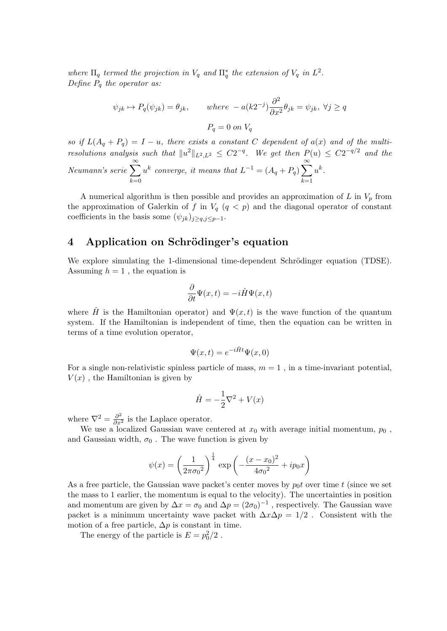*where*  $\Pi_q$  *termed the projection in*  $V_q$  *and*  $\Pi_q^*$  *the extension of*  $V_q$  *in*  $L^2$ *. Define P<sup>q</sup> the operator as:*

$$
\psi_{jk} \mapsto P_q(\psi_{jk}) = \theta_{jk}, \quad \text{where } -a(k2^{-j})\frac{\partial^2}{\partial x^2}\theta_{jk} = \psi_{jk}, \ \forall j \ge q
$$
  
 $P_q = 0 \text{ on } V_q$ 

*so if*  $L(A_q + P_q) = I - u$ , there exists a constant *C* dependent of  $a(x)$  and of the multi*resolutions analysis such that*  $||u^2||_{L^2,L^2} \leq C2^{-q}$ . We get then  $P(u) \leq C2^{-q/2}$  and the *Neumann's serie* <sup>∑</sup>*<sup>∞</sup> k*=0  $u^k$  converge, it means that  $L^{-1} = (A_q + P_q) \sum_{k=1}^{\infty}$ *k*=1 *u k .*

A numerical algorithm is then possible and provides an approximation of *L* in *V<sup>p</sup>* from the approximation of Galerkin of f in  $V_q$  ( $q < p$ ) and the diagonal operator of constant coefficients in the basis some  $(\psi_{jk})_{j\geq q,j\leq p-1}$ .

# **4** Application on Schrödinger's equation

We explore simulating the 1-dimensional time-dependent Schrödinger equation (TDSE). Assuming  $h = 1$ , the equation is

$$
\frac{\partial}{\partial t}\Psi(x,t) = -i\hat{H}\Psi(x,t)
$$

where  $\hat{H}$  is the Hamiltonian operator) and  $\Psi(x,t)$  is the wave function of the quantum system. If the Hamiltonian is independent of time, then the equation can be written in terms of a time evolution operator,

$$
\Psi(x,t) = e^{-i\hat{H}t}\Psi(x,0)
$$

For a single non-relativistic spinless particle of mass,  $m = 1$ , in a time-invariant potential,  $V(x)$ , the Hamiltonian is given by

$$
\hat{H} = -\frac{1}{2}\nabla^2 + V(x)
$$

where  $\nabla^2 = \frac{\partial^2}{\partial x^2}$  is the Laplace operator.

We use a localized Gaussian wave centered at  $x_0$  with average initial momentum,  $p_0$ , and Gaussian width,  $\sigma_0$ . The wave function is given by

$$
\psi(x) = \left(\frac{1}{2\pi\sigma_0^2}\right)^{\frac{1}{4}} \exp\left(-\frac{(x-x_0)^2}{4\sigma_0^2} + ip_0x\right)
$$

As a free particle, the Gaussian wave packet's center moves by  $p_0 t$  over time  $t$  (since we set the mass to 1 earlier, the momentum is equal to the velocity). The uncertainties in position and momentum are given by  $\Delta x = \sigma_0$  and  $\Delta p = (2\sigma_0)^{-1}$ , respectively. The Gaussian wave packet is a minimum uncertainty wave packet with  $\Delta x \Delta p = 1/2$ . Consistent with the motion of a free particle,  $\Delta p$  is constant in time.

The energy of the particle is  $E = p_0^2/2$ .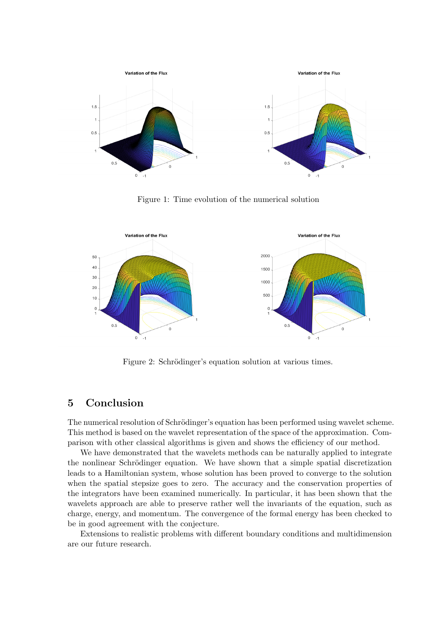

Figure 1: Time evolution of the numerical solution



Figure 2: Schrödinger's equation solution at various times.

#### **5 Conclusion**

The numerical resolution of Schrödinger's equation has been performed using wavelet scheme. This method is based on the wavelet representation of the space of the approximation. Comparison with other classical algorithms is given and shows the efficiency of our method.

We have demonstrated that the wavelets methods can be naturally applied to integrate the nonlinear Schrödinger equation. We have shown that a simple spatial discretization leads to a Hamiltonian system, whose solution has been proved to converge to the solution when the spatial stepsize goes to zero. The accuracy and the conservation properties of the integrators have been examined numerically. In particular, it has been shown that the wavelets approach are able to preserve rather well the invariants of the equation, such as charge, energy, and momentum. The convergence of the formal energy has been checked to be in good agreement with the conjecture.

Extensions to realistic problems with different boundary conditions and multidimension are our future research.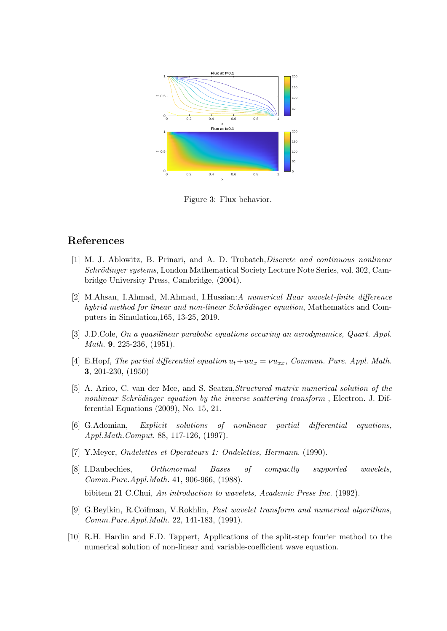

Figure 3: Flux behavior.

## **References**

- [1] M. J. Ablowitz, B. Prinari, and A. D. Trubatch,*Discrete and continuous nonlinear Schrödinger systems*, London Mathematical Society Lecture Note Series, vol. 302, Cambridge University Press, Cambridge, (2004).
- [2] M.Ahsan, I.Ahmad, M.Ahmad, I.Hussian:*A numerical Haar wavelet-finite difference hybrid method for linear and non-linear Schrödinger equation*, Mathematics and Computers in Simulation,165, 13-25, 2019.
- [3] J.D.Cole, *On a quasilinear parabolic equations occuring an aerodynamics, Quart. Appl. Math.* **9**, 225-236, (1951).
- [4] E.Hopf, *The partial differential equation ut*+*uu<sup>x</sup>* = *νuxx, Commun. Pure. Appl. Math.* **3**, 201-230, (1950)
- [5] A. Arico, C. van der Mee, and S. Seatzu,*Structured matrix numerical solution of the nonlinear Schrödinger equation by the inverse scattering transform*, Electron. J. Differential Equations (2009), No. 15, 21.
- [6] G.Adomian, *Explicit solutions of nonlinear partial differential equations, Appl.Math.Comput.* 88, 117-126, (1997).
- [7] Y.Meyer, *Ondelettes et Operateurs 1: Ondelettes, Hermann*. (1990).
- [8] I.Daubechies, *Orthonormal Bases of compactly supported wavelets, Comm.Pure.Appl.Math.* 41, 906-966, (1988). bibitem 21 C.Chui, *An introduction to wavelets, Academic Press Inc.* (1992).
- [9] G.Beylkin, R.Coifman, V.Rokhlin, *Fast wavelet transform and numerical algorithms, Comm.Pure.Appl.Math.* 22, 141-183, (1991).
- [10] R.H. Hardin and F.D. Tappert, Applications of the split-step fourier method to the numerical solution of non-linear and variable-coefficient wave equation.